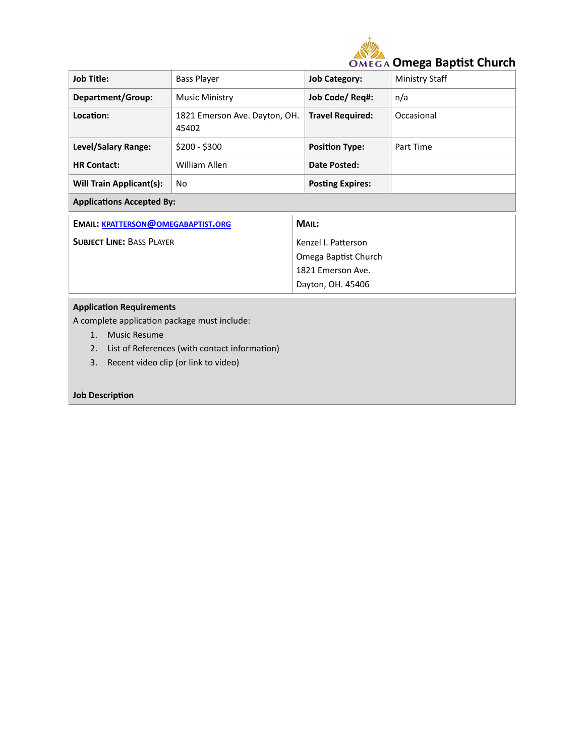

| <b>Job Title:</b>                  | <b>Bass Player</b>                     | <b>Job Category:</b>    | Ministry Staff |  |  |  |
|------------------------------------|----------------------------------------|-------------------------|----------------|--|--|--|
| Department/Group:                  | <b>Music Ministry</b>                  | Job Code/ Req#:         | n/a            |  |  |  |
| Location:                          | 1821 Emerson Ave. Dayton, OH.<br>45402 | <b>Travel Required:</b> | Occasional     |  |  |  |
| Level/Salary Range:                | $$200 - $300$                          | <b>Position Type:</b>   | Part Time      |  |  |  |
| <b>HR Contact:</b>                 | William Allen                          | Date Posted:            |                |  |  |  |
| <b>Will Train Applicant(s):</b>    | No                                     | <b>Posting Expires:</b> |                |  |  |  |
| <b>Applications Accepted By:</b>   |                                        |                         |                |  |  |  |
| EMAIL: KPATTERSON@OMEGABAPTIST.ORG |                                        | MAIL:                   |                |  |  |  |
| <b>SUBJECT LINE: BASS PLAYER</b>   |                                        | Kenzel I. Patterson     |                |  |  |  |
|                                    |                                        | Omega Baptist Church    |                |  |  |  |
|                                    |                                        | 1821 Emerson Ave.       |                |  |  |  |
|                                    |                                        | Dayton, OH. 45406       |                |  |  |  |
| <b>Application Requirements</b>    |                                        |                         |                |  |  |  |

A complete application package must include:

- 1. Music Resume
- 2. List of References (with contact information)
- 3. Recent video clip (or link to video)

## **Job Description**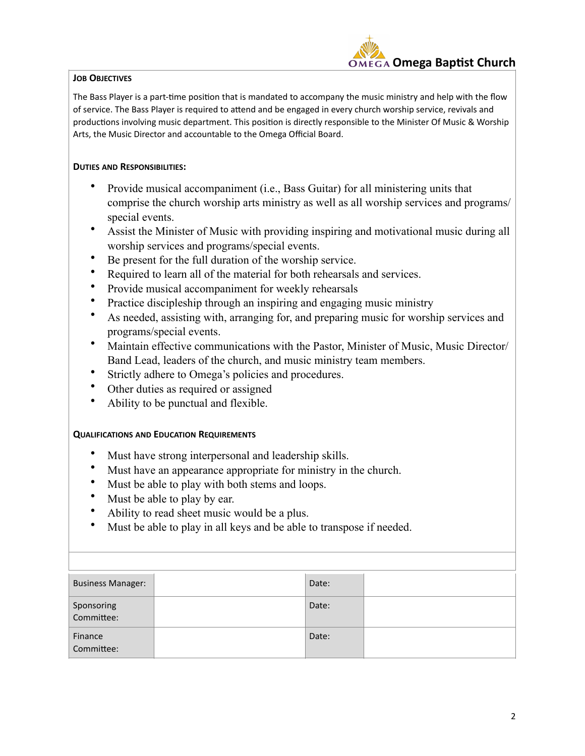## **JOB OBJECTIVES**



The Bass Player is a part-time position that is mandated to accompany the music ministry and help with the flow of service. The Bass Player is required to attend and be engaged in every church worship service, revivals and productions involving music department. This position is directly responsible to the Minister Of Music & Worship Arts, the Music Director and accountable to the Omega Official Board.

## **DUTIES AND RESPONSIBILITIES:**

- Provide musical accompaniment (i.e., Bass Guitar) for all ministering units that comprise the church worship arts ministry as well as all worship services and programs/ special events.
- Assist the Minister of Music with providing inspiring and motivational music during all worship services and programs/special events.
- Be present for the full duration of the worship service.
- Required to learn all of the material for both rehearsals and services.
- Provide musical accompaniment for weekly rehearsals
- Practice discipleship through an inspiring and engaging music ministry
- As needed, assisting with, arranging for, and preparing music for worship services and programs/special events.
- Maintain effective communications with the Pastor, Minister of Music, Music Director/ Band Lead, leaders of the church, and music ministry team members.
- Strictly adhere to Omega's policies and procedures.
- Other duties as required or assigned
- Ability to be punctual and flexible.

## **QUALIFICATIONS AND EDUCATION REQUIREMENTS**

- Must have strong interpersonal and leadership skills.
- Must have an appearance appropriate for ministry in the church.
- Must be able to play with both stems and loops.
- Must be able to play by ear.
- Ability to read sheet music would be a plus.
- Must be able to play in all keys and be able to transpose if needed.

| <b>Business Manager:</b> |  | Date: |  |  |
|--------------------------|--|-------|--|--|
| Sponsoring<br>Committee: |  | Date: |  |  |
| Finance<br>Committee:    |  | Date: |  |  |